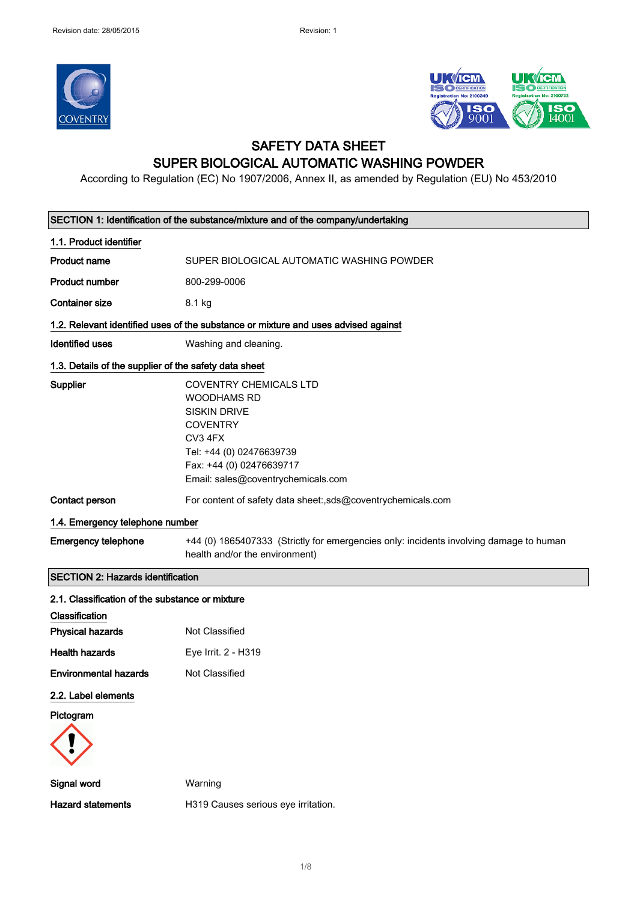



#### SAFETY DATA SHEET SUPER BIOLOGICAL AUTOMATIC WASHING POWDER

According to Regulation (EC) No 1907/2006, Annex II, as amended by Regulation (EU) No 453/2010

| SECTION 1: Identification of the substance/mixture and of the company/undertaking |                                                                                                                                                                                                 |  |
|-----------------------------------------------------------------------------------|-------------------------------------------------------------------------------------------------------------------------------------------------------------------------------------------------|--|
| 1.1. Product identifier                                                           |                                                                                                                                                                                                 |  |
| <b>Product name</b>                                                               | SUPER BIOLOGICAL AUTOMATIC WASHING POWDER                                                                                                                                                       |  |
| <b>Product number</b>                                                             | 800-299-0006                                                                                                                                                                                    |  |
| <b>Container size</b>                                                             | 8.1 kg                                                                                                                                                                                          |  |
|                                                                                   | 1.2. Relevant identified uses of the substance or mixture and uses advised against                                                                                                              |  |
| <b>Identified uses</b>                                                            | Washing and cleaning.                                                                                                                                                                           |  |
| 1.3. Details of the supplier of the safety data sheet                             |                                                                                                                                                                                                 |  |
| Supplier                                                                          | COVENTRY CHEMICALS LTD<br><b>WOODHAMS RD</b><br><b>SISKIN DRIVE</b><br><b>COVENTRY</b><br>CV3 4FX<br>Tel: +44 (0) 02476639739<br>Fax: +44 (0) 02476639717<br>Email: sales@coventrychemicals.com |  |
| Contact person                                                                    | For content of safety data sheet:,sds@coventrychemicals.com                                                                                                                                     |  |
| 1.4. Emergency telephone number                                                   |                                                                                                                                                                                                 |  |
| <b>Emergency telephone</b>                                                        | +44 (0) 1865407333 (Strictly for emergencies only: incidents involving damage to human<br>health and/or the environment)                                                                        |  |
| <b>SECTION 2: Hazards identification</b>                                          |                                                                                                                                                                                                 |  |
| 2.1. Classification of the substance or mixture                                   |                                                                                                                                                                                                 |  |
| Classification                                                                    |                                                                                                                                                                                                 |  |
| <b>Physical hazards</b>                                                           | Not Classified                                                                                                                                                                                  |  |
| <b>Health hazards</b>                                                             | Eye Irrit. 2 - H319                                                                                                                                                                             |  |
| <b>Environmental hazards</b>                                                      | Not Classified                                                                                                                                                                                  |  |
| 2.2. Label elements                                                               |                                                                                                                                                                                                 |  |
| Pictogram                                                                         |                                                                                                                                                                                                 |  |
|                                                                                   |                                                                                                                                                                                                 |  |
| Signal word                                                                       | Warning                                                                                                                                                                                         |  |
| <b>Hazard statements</b>                                                          | H319 Causes serious eye irritation.                                                                                                                                                             |  |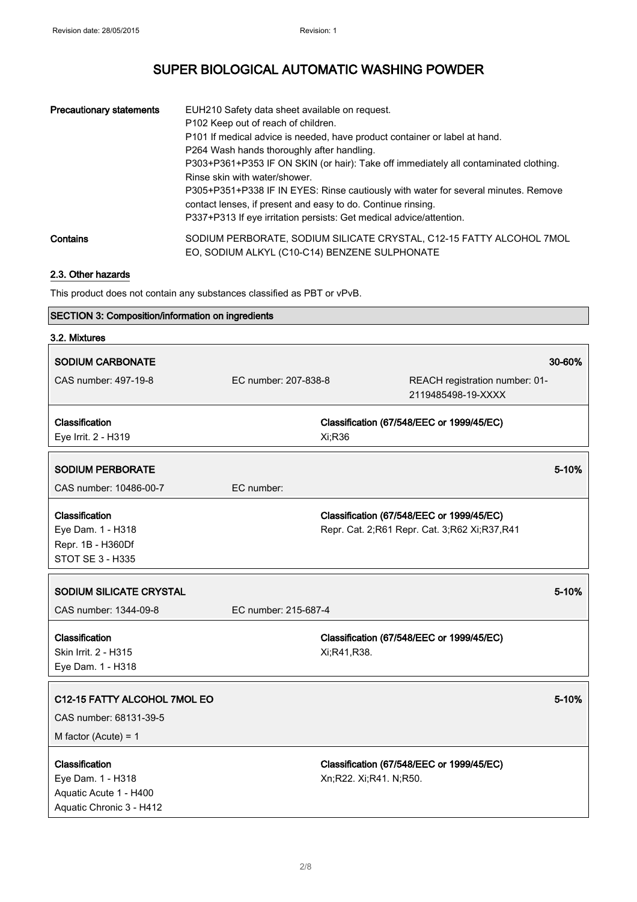| <b>Precautionary statements</b> | EUH210 Safety data sheet available on request.<br>P102 Keep out of reach of children.<br>P101 If medical advice is needed, have product container or label at hand.<br>P264 Wash hands thoroughly after handling.<br>P303+P361+P353 IF ON SKIN (or hair): Take off immediately all contaminated clothing.<br>Rinse skin with water/shower.<br>P305+P351+P338 IF IN EYES: Rinse cautiously with water for several minutes. Remove<br>contact lenses, if present and easy to do. Continue rinsing.<br>P337+P313 If eye irritation persists: Get medical advice/attention. |
|---------------------------------|-------------------------------------------------------------------------------------------------------------------------------------------------------------------------------------------------------------------------------------------------------------------------------------------------------------------------------------------------------------------------------------------------------------------------------------------------------------------------------------------------------------------------------------------------------------------------|
| Contains                        | SODIUM PERBORATE, SODIUM SILICATE CRYSTAL, C12-15 FATTY ALCOHOL 7MOL<br>EO, SODIUM ALKYL (C10-C14) BENZENE SULPHONATE                                                                                                                                                                                                                                                                                                                                                                                                                                                   |

#### 2.3. Other hazards

This product does not contain any substances classified as PBT or vPvB.

#### SECTION 3: Composition/information on ingredients

| 3.2. Mixtures                                                                             |                      |                        |                                                                                           |        |
|-------------------------------------------------------------------------------------------|----------------------|------------------------|-------------------------------------------------------------------------------------------|--------|
| <b>SODIUM CARBONATE</b>                                                                   |                      |                        |                                                                                           | 30-60% |
| CAS number: 497-19-8                                                                      | EC number: 207-838-8 |                        | REACH registration number: 01-<br>2119485498-19-XXXX                                      |        |
| Classification<br>Eye Irrit. 2 - H319                                                     |                      | Xi;R36                 | Classification (67/548/EEC or 1999/45/EC)                                                 |        |
| <b>SODIUM PERBORATE</b><br>CAS number: 10486-00-7                                         | EC number:           |                        |                                                                                           | 5-10%  |
| Classification<br>Eye Dam. 1 - H318<br>Repr. 1B - H360Df<br>STOT SE 3 - H335              |                      |                        | Classification (67/548/EEC or 1999/45/EC)<br>Repr. Cat. 2;R61 Repr. Cat. 3;R62 Xi;R37,R41 |        |
| <b>SODIUM SILICATE CRYSTAL</b>                                                            |                      |                        |                                                                                           | 5-10%  |
| CAS number: 1344-09-8                                                                     | EC number: 215-687-4 |                        |                                                                                           |        |
| Classification<br>Skin Irrit. 2 - H315<br>Eye Dam. 1 - H318                               |                      | Xi;R41,R38.            | Classification (67/548/EEC or 1999/45/EC)                                                 |        |
| C12-15 FATTY ALCOHOL 7MOL EO<br>CAS number: 68131-39-5<br>M factor (Acute) = $1$          |                      |                        |                                                                                           | 5-10%  |
| Classification<br>Eye Dam. 1 - H318<br>Aquatic Acute 1 - H400<br>Aquatic Chronic 3 - H412 |                      | Xn;R22. Xi;R41. N;R50. | Classification (67/548/EEC or 1999/45/EC)                                                 |        |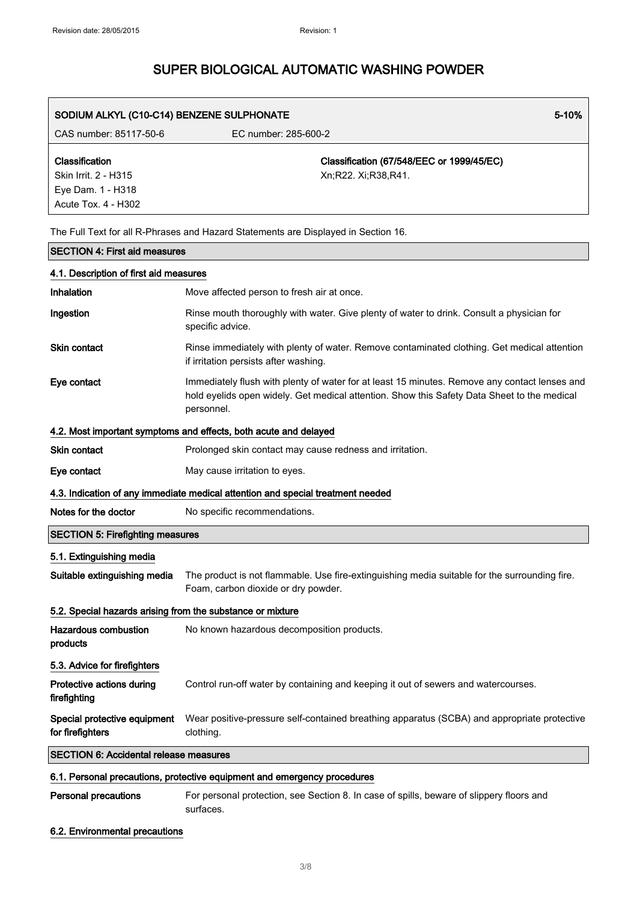| SODIUM ALKYL (C10-C14) BENZENE SULPHONATE                                          | 5-10%                                                                                                                                                                                                      |
|------------------------------------------------------------------------------------|------------------------------------------------------------------------------------------------------------------------------------------------------------------------------------------------------------|
| CAS number: 85117-50-6                                                             | EC number: 285-600-2                                                                                                                                                                                       |
| Classification<br>Skin Irrit. 2 - H315<br>Eye Dam. 1 - H318<br>Acute Tox. 4 - H302 | Classification (67/548/EEC or 1999/45/EC)<br>Xn;R22. Xi;R38,R41.                                                                                                                                           |
|                                                                                    | The Full Text for all R-Phrases and Hazard Statements are Displayed in Section 16.                                                                                                                         |
| <b>SECTION 4: First aid measures</b>                                               |                                                                                                                                                                                                            |
| 4.1. Description of first aid measures                                             |                                                                                                                                                                                                            |
| Inhalation                                                                         | Move affected person to fresh air at once.                                                                                                                                                                 |
| Ingestion                                                                          | Rinse mouth thoroughly with water. Give plenty of water to drink. Consult a physician for<br>specific advice.                                                                                              |
| <b>Skin contact</b>                                                                | Rinse immediately with plenty of water. Remove contaminated clothing. Get medical attention<br>if irritation persists after washing.                                                                       |
| Eye contact                                                                        | Immediately flush with plenty of water for at least 15 minutes. Remove any contact lenses and<br>hold eyelids open widely. Get medical attention. Show this Safety Data Sheet to the medical<br>personnel. |
|                                                                                    | 4.2. Most important symptoms and effects, both acute and delayed                                                                                                                                           |
| <b>Skin contact</b>                                                                | Prolonged skin contact may cause redness and irritation.                                                                                                                                                   |
| Eye contact                                                                        | May cause irritation to eyes.                                                                                                                                                                              |
|                                                                                    | 4.3. Indication of any immediate medical attention and special treatment needed                                                                                                                            |
| Notes for the doctor                                                               | No specific recommendations.                                                                                                                                                                               |
| <b>SECTION 5: Firefighting measures</b>                                            |                                                                                                                                                                                                            |
| 5.1. Extinguishing media                                                           |                                                                                                                                                                                                            |
| Suitable extinguishing media                                                       | The product is not flammable. Use fire-extinguishing media suitable for the surrounding fire.<br>Foam, carbon dioxide or dry powder.                                                                       |
| 5.2. Special hazards arising from the substance or mixture                         |                                                                                                                                                                                                            |
| <b>Hazardous combustion</b><br>products                                            | No known hazardous decomposition products.                                                                                                                                                                 |
| 5.3. Advice for firefighters                                                       |                                                                                                                                                                                                            |
| Protective actions during<br>firefighting                                          | Control run-off water by containing and keeping it out of sewers and watercourses.                                                                                                                         |
| Special protective equipment<br>for firefighters                                   | Wear positive-pressure self-contained breathing apparatus (SCBA) and appropriate protective<br>clothing.                                                                                                   |
| <b>SECTION 6: Accidental release measures</b>                                      |                                                                                                                                                                                                            |
|                                                                                    | 6.1. Personal precautions, protective equipment and emergency procedures                                                                                                                                   |

Personal precautions For personal protection, see Section 8. In case of spills, beware of slippery floors and surfaces.

#### 6.2. Environmental precautions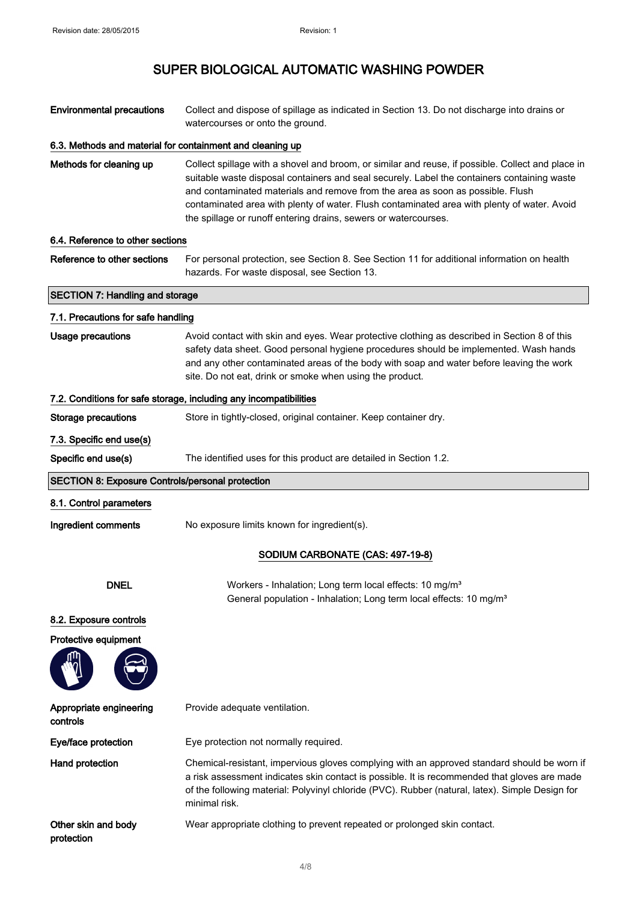| <b>Environmental precautions</b>                          | Collect and dispose of spillage as indicated in Section 13. Do not discharge into drains or<br>watercourses or onto the ground.                                                                                                                                                                                                                                                                                                                      |  |
|-----------------------------------------------------------|------------------------------------------------------------------------------------------------------------------------------------------------------------------------------------------------------------------------------------------------------------------------------------------------------------------------------------------------------------------------------------------------------------------------------------------------------|--|
| 6.3. Methods and material for containment and cleaning up |                                                                                                                                                                                                                                                                                                                                                                                                                                                      |  |
| Methods for cleaning up                                   | Collect spillage with a shovel and broom, or similar and reuse, if possible. Collect and place in<br>suitable waste disposal containers and seal securely. Label the containers containing waste<br>and contaminated materials and remove from the area as soon as possible. Flush<br>contaminated area with plenty of water. Flush contaminated area with plenty of water. Avoid<br>the spillage or runoff entering drains, sewers or watercourses. |  |
| 6.4. Reference to other sections                          |                                                                                                                                                                                                                                                                                                                                                                                                                                                      |  |
| Reference to other sections                               | For personal protection, see Section 8. See Section 11 for additional information on health<br>hazards. For waste disposal, see Section 13.                                                                                                                                                                                                                                                                                                          |  |
| <b>SECTION 7: Handling and storage</b>                    |                                                                                                                                                                                                                                                                                                                                                                                                                                                      |  |
| 7.1. Precautions for safe handling                        |                                                                                                                                                                                                                                                                                                                                                                                                                                                      |  |
| <b>Usage precautions</b>                                  | Avoid contact with skin and eyes. Wear protective clothing as described in Section 8 of this<br>safety data sheet. Good personal hygiene procedures should be implemented. Wash hands<br>and any other contaminated areas of the body with soap and water before leaving the work<br>site. Do not eat, drink or smoke when using the product.                                                                                                        |  |
|                                                           | 7.2. Conditions for safe storage, including any incompatibilities                                                                                                                                                                                                                                                                                                                                                                                    |  |
| <b>Storage precautions</b>                                | Store in tightly-closed, original container. Keep container dry.                                                                                                                                                                                                                                                                                                                                                                                     |  |
| 7.3. Specific end use(s)                                  |                                                                                                                                                                                                                                                                                                                                                                                                                                                      |  |
| Specific end use(s)                                       | The identified uses for this product are detailed in Section 1.2.                                                                                                                                                                                                                                                                                                                                                                                    |  |
| <b>SECTION 8: Exposure Controls/personal protection</b>   |                                                                                                                                                                                                                                                                                                                                                                                                                                                      |  |
| 8.1. Control parameters                                   |                                                                                                                                                                                                                                                                                                                                                                                                                                                      |  |
| Ingredient comments                                       | No exposure limits known for ingredient(s).                                                                                                                                                                                                                                                                                                                                                                                                          |  |
|                                                           | SODIUM CARBONATE (CAS: 497-19-8)                                                                                                                                                                                                                                                                                                                                                                                                                     |  |
| <b>DNEL</b>                                               | Workers - Inhalation; Long term local effects: 10 mg/m <sup>3</sup><br>General population - Inhalation; Long term local effects: 10 mg/m <sup>3</sup>                                                                                                                                                                                                                                                                                                |  |
| 8.2. Exposure controls                                    |                                                                                                                                                                                                                                                                                                                                                                                                                                                      |  |
| Protective equipment                                      |                                                                                                                                                                                                                                                                                                                                                                                                                                                      |  |
| Appropriate engineering<br>controls                       | Provide adequate ventilation.                                                                                                                                                                                                                                                                                                                                                                                                                        |  |
| Eye/face protection                                       | Eye protection not normally required.                                                                                                                                                                                                                                                                                                                                                                                                                |  |
| Hand protection                                           | Chemical-resistant, impervious gloves complying with an approved standard should be worn if<br>a risk assessment indicates skin contact is possible. It is recommended that gloves are made<br>of the following material: Polyvinyl chloride (PVC). Rubber (natural, latex). Simple Design for<br>minimal risk.                                                                                                                                      |  |
| Other skin and body<br>protection                         | Wear appropriate clothing to prevent repeated or prolonged skin contact.                                                                                                                                                                                                                                                                                                                                                                             |  |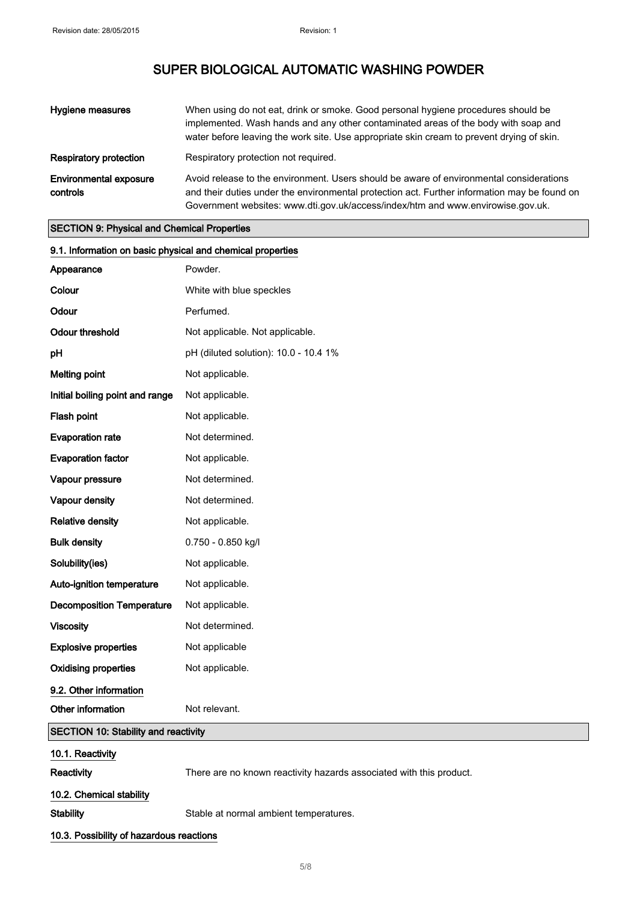| Hygiene measures                          | When using do not eat, drink or smoke. Good personal hygiene procedures should be<br>implemented. Wash hands and any other contaminated areas of the body with soap and<br>water before leaving the work site. Use appropriate skin cream to prevent drying of skin.       |
|-------------------------------------------|----------------------------------------------------------------------------------------------------------------------------------------------------------------------------------------------------------------------------------------------------------------------------|
| <b>Respiratory protection</b>             | Respiratory protection not required.                                                                                                                                                                                                                                       |
| <b>Environmental exposure</b><br>controls | Avoid release to the environment. Users should be aware of environmental considerations<br>and their duties under the environmental protection act. Further information may be found on<br>Government websites: www.dti.gov.uk/access/index/htm and www.envirowise.gov.uk. |

#### SECTION 9: Physical and Chemical Properties

| 9.1. Information on basic physical and chemical properties |                                                                     |  |
|------------------------------------------------------------|---------------------------------------------------------------------|--|
| Appearance                                                 | Powder.                                                             |  |
| Colour                                                     | White with blue speckles                                            |  |
| Odour                                                      | Perfumed.                                                           |  |
| <b>Odour threshold</b>                                     | Not applicable. Not applicable.                                     |  |
| pH                                                         | pH (diluted solution): 10.0 - 10.4 1%                               |  |
| <b>Melting point</b>                                       | Not applicable.                                                     |  |
| Initial boiling point and range                            | Not applicable.                                                     |  |
| Flash point                                                | Not applicable.                                                     |  |
| <b>Evaporation rate</b>                                    | Not determined.                                                     |  |
| <b>Evaporation factor</b>                                  | Not applicable.                                                     |  |
| Vapour pressure                                            | Not determined.                                                     |  |
| Vapour density                                             | Not determined.                                                     |  |
| <b>Relative density</b>                                    | Not applicable.                                                     |  |
| <b>Bulk density</b>                                        | 0.750 - 0.850 kg/l                                                  |  |
| Solubility(ies)                                            | Not applicable.                                                     |  |
| Auto-ignition temperature                                  | Not applicable.                                                     |  |
| <b>Decomposition Temperature</b>                           | Not applicable.                                                     |  |
| <b>Viscosity</b>                                           | Not determined.                                                     |  |
| <b>Explosive properties</b>                                | Not applicable                                                      |  |
| <b>Oxidising properties</b>                                | Not applicable.                                                     |  |
| 9.2. Other information                                     |                                                                     |  |
| Other information                                          | Not relevant.                                                       |  |
| <b>SECTION 10: Stability and reactivity</b>                |                                                                     |  |
| 10.1. Reactivity                                           |                                                                     |  |
| Reactivity                                                 | There are no known reactivity hazards associated with this product. |  |
| 10.2. Chemical stability                                   |                                                                     |  |
| <b>Stability</b>                                           | Stable at normal ambient temperatures.                              |  |
| 10.3. Possibility of hazardous reactions                   |                                                                     |  |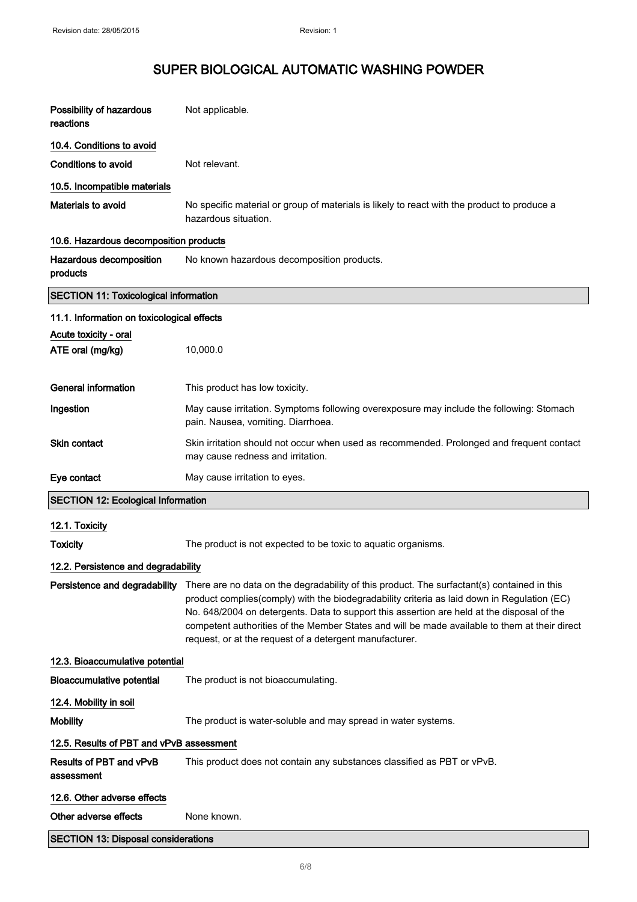| Possibility of hazardous<br>reactions        | Not applicable.                                                                                                                                                                                                                                                                                                                                                                                                                                      |  |
|----------------------------------------------|------------------------------------------------------------------------------------------------------------------------------------------------------------------------------------------------------------------------------------------------------------------------------------------------------------------------------------------------------------------------------------------------------------------------------------------------------|--|
| 10.4. Conditions to avoid                    |                                                                                                                                                                                                                                                                                                                                                                                                                                                      |  |
| <b>Conditions to avoid</b>                   | Not relevant.                                                                                                                                                                                                                                                                                                                                                                                                                                        |  |
| 10.5. Incompatible materials                 |                                                                                                                                                                                                                                                                                                                                                                                                                                                      |  |
| Materials to avoid                           | No specific material or group of materials is likely to react with the product to produce a<br>hazardous situation.                                                                                                                                                                                                                                                                                                                                  |  |
| 10.6. Hazardous decomposition products       |                                                                                                                                                                                                                                                                                                                                                                                                                                                      |  |
| Hazardous decomposition<br>products          | No known hazardous decomposition products.                                                                                                                                                                                                                                                                                                                                                                                                           |  |
| <b>SECTION 11: Toxicological information</b> |                                                                                                                                                                                                                                                                                                                                                                                                                                                      |  |
| 11.1. Information on toxicological effects   |                                                                                                                                                                                                                                                                                                                                                                                                                                                      |  |
| Acute toxicity - oral<br>ATE oral (mg/kg)    | 10,000.0                                                                                                                                                                                                                                                                                                                                                                                                                                             |  |
| <b>General information</b>                   | This product has low toxicity.                                                                                                                                                                                                                                                                                                                                                                                                                       |  |
| Ingestion                                    | May cause irritation. Symptoms following overexposure may include the following: Stomach<br>pain. Nausea, vomiting. Diarrhoea.                                                                                                                                                                                                                                                                                                                       |  |
| Skin contact                                 | Skin irritation should not occur when used as recommended. Prolonged and frequent contact<br>may cause redness and irritation.                                                                                                                                                                                                                                                                                                                       |  |
|                                              |                                                                                                                                                                                                                                                                                                                                                                                                                                                      |  |
| Eye contact                                  | May cause irritation to eyes.                                                                                                                                                                                                                                                                                                                                                                                                                        |  |
| <b>SECTION 12: Ecological Information</b>    |                                                                                                                                                                                                                                                                                                                                                                                                                                                      |  |
|                                              |                                                                                                                                                                                                                                                                                                                                                                                                                                                      |  |
| 12.1. Toxicity<br><b>Toxicity</b>            | The product is not expected to be toxic to aquatic organisms.                                                                                                                                                                                                                                                                                                                                                                                        |  |
| 12.2. Persistence and degradability          |                                                                                                                                                                                                                                                                                                                                                                                                                                                      |  |
| Persistence and degradability                | There are no data on the degradability of this product. The surfactant(s) contained in this<br>product complies(comply) with the biodegradability criteria as laid down in Regulation (EC)<br>No. 648/2004 on detergents. Data to support this assertion are held at the disposal of the<br>competent authorities of the Member States and will be made available to them at their direct<br>request, or at the request of a detergent manufacturer. |  |
| 12.3. Bioaccumulative potential              |                                                                                                                                                                                                                                                                                                                                                                                                                                                      |  |
| <b>Bioaccumulative potential</b>             | The product is not bioaccumulating.                                                                                                                                                                                                                                                                                                                                                                                                                  |  |
| 12.4. Mobility in soil                       |                                                                                                                                                                                                                                                                                                                                                                                                                                                      |  |
| <b>Mobility</b>                              | The product is water-soluble and may spread in water systems.                                                                                                                                                                                                                                                                                                                                                                                        |  |
| 12.5. Results of PBT and vPvB assessment     |                                                                                                                                                                                                                                                                                                                                                                                                                                                      |  |
| Results of PBT and vPvB<br>assessment        | This product does not contain any substances classified as PBT or vPvB.                                                                                                                                                                                                                                                                                                                                                                              |  |
| 12.6. Other adverse effects                  |                                                                                                                                                                                                                                                                                                                                                                                                                                                      |  |
| Other adverse effects                        | None known.                                                                                                                                                                                                                                                                                                                                                                                                                                          |  |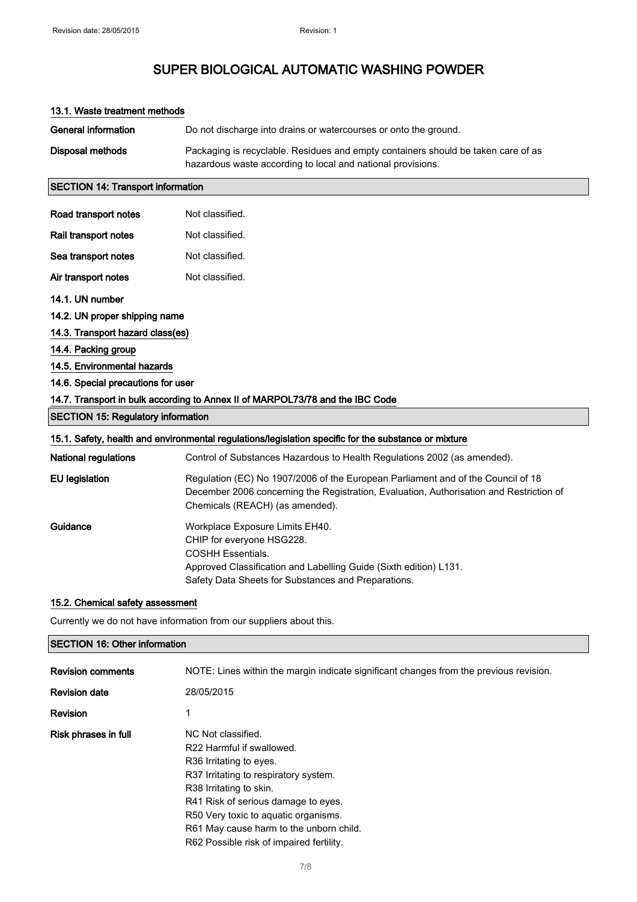| <b>General information</b>                                          | Do not discharge into drains or watercourses or onto the ground.                                                                                                                                                     |  |
|---------------------------------------------------------------------|----------------------------------------------------------------------------------------------------------------------------------------------------------------------------------------------------------------------|--|
| Disposal methods                                                    | Packaging is recyclable. Residues and empty containers should be taken care of as<br>hazardous waste according to local and national provisions.                                                                     |  |
| <b>SECTION 14: Transport information</b>                            |                                                                                                                                                                                                                      |  |
| Road transport notes                                                | Not classified.                                                                                                                                                                                                      |  |
| Rail transport notes                                                | Not classified.                                                                                                                                                                                                      |  |
| Sea transport notes                                                 | Not classified.                                                                                                                                                                                                      |  |
| Air transport notes                                                 | Not classified.                                                                                                                                                                                                      |  |
| 14.1. UN number                                                     |                                                                                                                                                                                                                      |  |
| 14.2. UN proper shipping name                                       |                                                                                                                                                                                                                      |  |
| 14.3. Transport hazard class(es)                                    |                                                                                                                                                                                                                      |  |
| 14.4. Packing group                                                 |                                                                                                                                                                                                                      |  |
| 14.5. Environmental hazards                                         |                                                                                                                                                                                                                      |  |
| 14.6. Special precautions for user                                  |                                                                                                                                                                                                                      |  |
|                                                                     | 14.7. Transport in bulk according to Annex II of MARPOL73/78 and the IBC Code                                                                                                                                        |  |
| <b>SECTION 15: Regulatory information</b>                           |                                                                                                                                                                                                                      |  |
|                                                                     | 15.1. Safety, health and environmental regulations/legislation specific for the substance or mixture                                                                                                                 |  |
| <b>National regulations</b>                                         | Control of Substances Hazardous to Health Regulations 2002 (as amended).                                                                                                                                             |  |
| <b>EU</b> legislation                                               | Regulation (EC) No 1907/2006 of the European Parliament and of the Council of 18<br>December 2006 concerning the Registration, Evaluation, Authorisation and Restriction of<br>Chemicals (REACH) (as amended).       |  |
| Guidance                                                            | Workplace Exposure Limits EH40.<br>CHIP for everyone HSG228.<br><b>COSHH Essentials.</b><br>Approved Classification and Labelling Guide (Sixth edition) L131.<br>Safety Data Sheets for Substances and Preparations. |  |
| 15.2. Chemical safety assessment                                    |                                                                                                                                                                                                                      |  |
| Currently we do not have information from our suppliers about this. |                                                                                                                                                                                                                      |  |
| <b>SECTION 16: Other information</b>                                |                                                                                                                                                                                                                      |  |

| <b>Revision comments</b> | NOTE: Lines within the margin indicate significant changes from the previous revision. |
|--------------------------|----------------------------------------------------------------------------------------|
| <b>Revision date</b>     | 28/05/2015                                                                             |
| <b>Revision</b>          |                                                                                        |
| Risk phrases in full     | NC Not classified.                                                                     |
|                          | R22 Harmful if swallowed.                                                              |
|                          | R <sub>36</sub> Irritating to eyes.                                                    |
|                          | R37 Irritating to respiratory system.                                                  |
|                          | R38 Irritating to skin.                                                                |
|                          | R41 Risk of serious damage to eyes.                                                    |
|                          | R50 Very toxic to aquatic organisms.                                                   |
|                          | R61 May cause harm to the unborn child.                                                |
|                          | R62 Possible risk of impaired fertility.                                               |

#### 13.1. Waste treatment methods